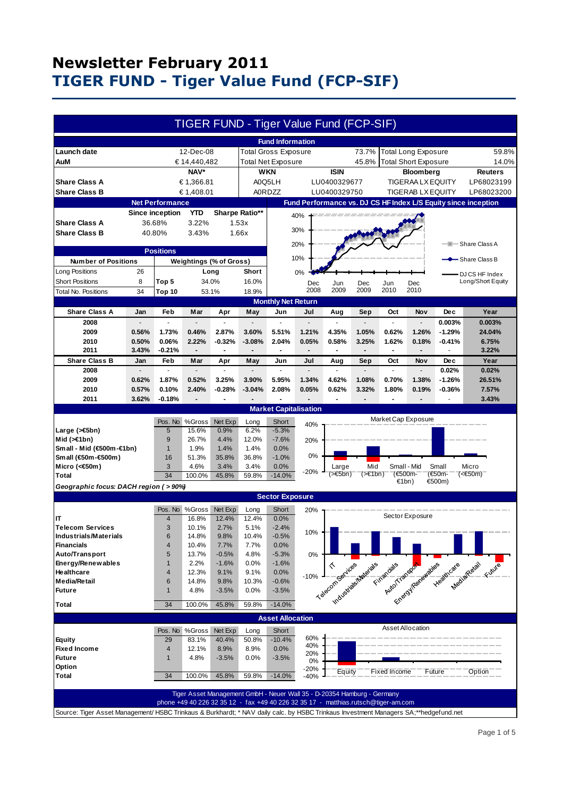| <b>Fund Information</b><br>Launch date<br>12-Dec-08<br><b>Total Gross Exposure</b><br>73.7%<br><b>Total Long Exposure</b><br>59.8%<br>45.8%<br>Total Short Exposure<br>AuM<br>€ 14,440,482<br><b>Total Net Exposure</b><br>14.0%<br>NAV*<br><b>ISIN</b><br><b>WKN</b><br><b>Bloomberg</b><br><b>Reuters</b><br>A0Q5LH<br>LU0400329677<br>LP68023199<br><b>Share Class A</b><br>€ 1,366.81<br><b>TIGERAA LX EQUITY</b><br><b>Share Class B</b><br>€ 1,408.01<br><b>A0RDZZ</b><br>LU0400329750<br><b>TIGERAB LX EQUITY</b><br>LP68023200<br>Fund Performance vs. DJ CS HF Index L/S Equity since inception<br><b>Net Performance</b><br><b>YTD</b><br>Sharpe Ratio**<br><b>Since inception</b><br>40%<br><b>Share Class A</b><br>3.22%<br>36.68%<br>1.53x<br>30%<br><b>Share Class B</b><br>40.80%<br>3.43%<br>1.66x<br>20%<br>—IIII— Share Class A<br><b>Positions</b><br>10%<br>$-$ Share Class B<br><b>Number of Positions</b><br>Weightings (% of Gross)<br>Long Positions<br>26<br>Short<br>0%<br>Long<br>DJ CS HF Index<br><b>Short Positions</b><br>8<br>34.0%<br>16.0%<br>Long/Short Equity<br>Top 5<br>Jun<br>Dec<br>Jun<br>Dec<br>Dec<br>2009<br>2010<br>2008<br>2009<br>2010<br>Total No. Positions<br>34<br>18.9%<br><b>Top 10</b><br>53.1%<br><b>Monthly Net Return</b><br><b>Share Class A</b><br>Feb<br>Dec<br>Year<br>Mar<br>Apr<br>May<br>Jun<br>Jul<br>Aug<br>Sep<br>Oct<br>Nov<br>Jan<br>0.003%<br>2008<br>0.003%<br>L.<br>2009<br>1.73%<br>0.46%<br>2.87%<br>3.60%<br>1.21%<br>4.35%<br>1.05%<br>0.62%<br>1.26%<br>$-1.29%$<br>0.56%<br>5.51%<br>24.04%<br>2010<br>0.50%<br>0.06%<br>2.22%<br>$-0.32%$<br>$-3.08%$<br>2.04%<br>0.05%<br>0.58%<br>3.25%<br>1.62%<br>0.18%<br>$-0.41%$<br>6.75%<br>2011<br>3.43%<br>-0.21%<br>3.22%<br>٠<br><b>Share Class B</b><br>Year<br>Feb<br>Mar<br>Jun<br>Jul<br>Sep<br>Oct<br>Nov<br><b>Dec</b><br>Jan<br>Apr<br>May<br>Aug<br>0.02%<br>2008<br>0.02%<br>2009<br>0.62%<br>1.87%<br>0.52%<br>3.25%<br>3.90%<br>5.95%<br>1.34%<br>4.62%<br>1.08%<br>0.70%<br>1.38%<br>$-1.26%$<br>26.51%<br>2010<br>0.10%<br>2.40%<br>$-0.28%$<br>$-3.04%$<br>2.08%<br>0.05%<br>0.62%<br>1.80%<br>0.19%<br>7.57%<br>0.57%<br>3.32%<br>$-0.36%$<br>2011<br>3.62%<br>$-0.18%$<br>3.43%<br><b>Market Capitalisation</b><br>Market Cap Exposure<br>Pos. No<br>%Gross<br>Net Exp<br>Short<br>Long<br>40%<br>$-5.3%$<br>15.6%<br>0.9%<br>6.2%<br>Large (>€5bn)<br>5<br>9<br>26.7%<br>4.4%<br>12.0%<br>$-7.6%$<br>Mid $($ > $\in$ 1bn)<br>20%<br>Small - Mid (€500m-€1bn)<br>1.9%<br>0.0%<br>$\mathbf{1}$<br>1.4%<br>1.4%<br>0%<br>Small (€50m-€500m)<br>36.8%<br>$-1.0%$<br>16<br>51.3%<br>35.8%<br>3<br>4.6%<br>Micro (<€50m)<br>3.4%<br>3.4%<br>0.0%<br>Small - Mid<br>Small<br>Mid<br>Micro<br>Large<br>$-20%$<br>(>€5bn)<br>$(\geq \in 1$ bn)<br>(€500m-<br>(€50m-<br>$(50m)$<br>34<br>100.0%<br>45.8%<br>Total<br>59.8%<br>$-14.0%$<br>€1bn)<br>€500m)<br>Geographic focus: DACH region ( > 90%)<br><b>Sector Exposure</b><br>Pos. No<br>%Gross<br>Net Exp<br>Short<br>Long<br>20%<br>Sector Exposure<br>12.4%<br>12.4%<br>0.0%<br>IT<br>$\overline{4}$<br>16.8%<br>3<br><b>Telecom Services</b><br>10.1%<br>2.7%<br>5.1%<br>$-2.4%$<br>10%<br>$\,$ 6<br>14.8%<br>9.8%<br>10.4%<br>$-0.5%$<br><b>Industrials/Materials</b><br><b>Financials</b><br>10.4%<br>7.7%<br>7.7%<br>0.0%<br>$\overline{4}$<br>Auto/Transport<br>13.7%<br>4.8%<br>0%<br>5<br>$-0.5%$<br>$-5.3%$<br>Energy/Renewables<br>$\mathbf{1}$<br>2.2%<br>$-1.6%$<br>0.0%<br>$-1.6%$<br>Eirangale Francastale Reader Categories & Visited<br>Tiolenconcretial Marian<br>Healthcare<br>12.3%<br>9.1%<br>9.1%<br>0.0%<br>$\overline{4}$<br>$-10%$<br><b>Media/Retail</b><br>14.8%<br>$6\phantom{1}6$<br>9.8%<br>10.3%<br>$-0.6%$<br><b>Future</b><br>$\mathbf{1}$<br>4.8%<br>$-3.5%$<br>0.0%<br>$-3.5%$<br><b>Total</b><br>34<br>45.8%<br>59.8%<br>$-14.0%$<br>100.0%<br><b>Asset Allocation</b><br>Asset Allocation<br>%Gross<br>Pos. No<br>Net Exp<br>Short<br>Long<br>60%<br>29<br><b>Equity</b><br>83.1%<br>40.4%<br>50.8%<br>$-10.4%$<br>40%<br><b>Fixed Income</b><br>$\overline{4}$<br>12.1%<br>8.9%<br>8.9%<br>0.0%<br>20%<br><b>Future</b><br>$\mathbf{1}$<br>4.8%<br>$-3.5%$<br>0.0%<br>$-3.5%$<br>0%<br>Option<br>-20%<br>Equity<br><b>Fixed Income</b><br>Future<br>Option<br>34<br>Total<br>45.8%<br>100.0%<br>59.8%<br>$-14.0%$<br>$-40%$<br>Tiger Asset Management GmbH - Neuer Wall 35 - D-20354 Hamburg - Germany<br>phone +49 40 226 32 35 12 - fax +49 40 226 32 35 17 - matthias.rutsch@tiger-am.com<br>Source: Tiger Asset Management/HSBC Trinkaus & Burkhardt; * NAV daily calc. by HSBC Trinkaus Investment Managers SA;**hedgefund.net |  |  |  |  |  |  |  | TIGER FUND - Tiger Value Fund (FCP-SIF) |  |  |  |  |
|-----------------------------------------------------------------------------------------------------------------------------------------------------------------------------------------------------------------------------------------------------------------------------------------------------------------------------------------------------------------------------------------------------------------------------------------------------------------------------------------------------------------------------------------------------------------------------------------------------------------------------------------------------------------------------------------------------------------------------------------------------------------------------------------------------------------------------------------------------------------------------------------------------------------------------------------------------------------------------------------------------------------------------------------------------------------------------------------------------------------------------------------------------------------------------------------------------------------------------------------------------------------------------------------------------------------------------------------------------------------------------------------------------------------------------------------------------------------------------------------------------------------------------------------------------------------------------------------------------------------------------------------------------------------------------------------------------------------------------------------------------------------------------------------------------------------------------------------------------------------------------------------------------------------------------------------------------------------------------------------------------------------------------------------------------------------------------------------------------------------------------------------------------------------------------------------------------------------------------------------------------------------------------------------------------------------------------------------------------------------------------------------------------------------------------------------------------------------------------------------------------------------------------------------------------------------------------------------------------------------------------------------------------------------------------------------------------------------------------------------------------------------------------------------------------------------------------------------------------------------------------------------------------------------------------------------------------------------------------------------------------------------------------------------------------------------------------------------------------------------------------------------------------------------------------------------------------------------------------------------------------------------------------------------------------------------------------------------------------------------------------------------------------------------------------------------------------------------------------------------------------------------------------------------------------------------------------------------------------------------------------------------------------------------------------------------------------------------------------------------------------------------------------------------------------------------------------------------------------------------------------------------------------------------------------------------------------------------------------------------------------------------------------------------------------------------------------------------------------------------------------------------------------------------------------------------------------------------------------------------------------------------------------------------------------------------------------------------------------------------------------------------------------------------------------------------------------------------------------------------------------------------------------------------------------------------------------------------------------------------------------------------------------------------|--|--|--|--|--|--|--|-----------------------------------------|--|--|--|--|
|                                                                                                                                                                                                                                                                                                                                                                                                                                                                                                                                                                                                                                                                                                                                                                                                                                                                                                                                                                                                                                                                                                                                                                                                                                                                                                                                                                                                                                                                                                                                                                                                                                                                                                                                                                                                                                                                                                                                                                                                                                                                                                                                                                                                                                                                                                                                                                                                                                                                                                                                                                                                                                                                                                                                                                                                                                                                                                                                                                                                                                                                                                                                                                                                                                                                                                                                                                                                                                                                                                                                                                                                                                                                                                                                                                                                                                                                                                                                                                                                                                                                                                                                                                                                                                                                                                                                                                                                                                                                                                                                                                                                                                                                 |  |  |  |  |  |  |  |                                         |  |  |  |  |
|                                                                                                                                                                                                                                                                                                                                                                                                                                                                                                                                                                                                                                                                                                                                                                                                                                                                                                                                                                                                                                                                                                                                                                                                                                                                                                                                                                                                                                                                                                                                                                                                                                                                                                                                                                                                                                                                                                                                                                                                                                                                                                                                                                                                                                                                                                                                                                                                                                                                                                                                                                                                                                                                                                                                                                                                                                                                                                                                                                                                                                                                                                                                                                                                                                                                                                                                                                                                                                                                                                                                                                                                                                                                                                                                                                                                                                                                                                                                                                                                                                                                                                                                                                                                                                                                                                                                                                                                                                                                                                                                                                                                                                                                 |  |  |  |  |  |  |  |                                         |  |  |  |  |
|                                                                                                                                                                                                                                                                                                                                                                                                                                                                                                                                                                                                                                                                                                                                                                                                                                                                                                                                                                                                                                                                                                                                                                                                                                                                                                                                                                                                                                                                                                                                                                                                                                                                                                                                                                                                                                                                                                                                                                                                                                                                                                                                                                                                                                                                                                                                                                                                                                                                                                                                                                                                                                                                                                                                                                                                                                                                                                                                                                                                                                                                                                                                                                                                                                                                                                                                                                                                                                                                                                                                                                                                                                                                                                                                                                                                                                                                                                                                                                                                                                                                                                                                                                                                                                                                                                                                                                                                                                                                                                                                                                                                                                                                 |  |  |  |  |  |  |  |                                         |  |  |  |  |
|                                                                                                                                                                                                                                                                                                                                                                                                                                                                                                                                                                                                                                                                                                                                                                                                                                                                                                                                                                                                                                                                                                                                                                                                                                                                                                                                                                                                                                                                                                                                                                                                                                                                                                                                                                                                                                                                                                                                                                                                                                                                                                                                                                                                                                                                                                                                                                                                                                                                                                                                                                                                                                                                                                                                                                                                                                                                                                                                                                                                                                                                                                                                                                                                                                                                                                                                                                                                                                                                                                                                                                                                                                                                                                                                                                                                                                                                                                                                                                                                                                                                                                                                                                                                                                                                                                                                                                                                                                                                                                                                                                                                                                                                 |  |  |  |  |  |  |  |                                         |  |  |  |  |
|                                                                                                                                                                                                                                                                                                                                                                                                                                                                                                                                                                                                                                                                                                                                                                                                                                                                                                                                                                                                                                                                                                                                                                                                                                                                                                                                                                                                                                                                                                                                                                                                                                                                                                                                                                                                                                                                                                                                                                                                                                                                                                                                                                                                                                                                                                                                                                                                                                                                                                                                                                                                                                                                                                                                                                                                                                                                                                                                                                                                                                                                                                                                                                                                                                                                                                                                                                                                                                                                                                                                                                                                                                                                                                                                                                                                                                                                                                                                                                                                                                                                                                                                                                                                                                                                                                                                                                                                                                                                                                                                                                                                                                                                 |  |  |  |  |  |  |  |                                         |  |  |  |  |
|                                                                                                                                                                                                                                                                                                                                                                                                                                                                                                                                                                                                                                                                                                                                                                                                                                                                                                                                                                                                                                                                                                                                                                                                                                                                                                                                                                                                                                                                                                                                                                                                                                                                                                                                                                                                                                                                                                                                                                                                                                                                                                                                                                                                                                                                                                                                                                                                                                                                                                                                                                                                                                                                                                                                                                                                                                                                                                                                                                                                                                                                                                                                                                                                                                                                                                                                                                                                                                                                                                                                                                                                                                                                                                                                                                                                                                                                                                                                                                                                                                                                                                                                                                                                                                                                                                                                                                                                                                                                                                                                                                                                                                                                 |  |  |  |  |  |  |  |                                         |  |  |  |  |
|                                                                                                                                                                                                                                                                                                                                                                                                                                                                                                                                                                                                                                                                                                                                                                                                                                                                                                                                                                                                                                                                                                                                                                                                                                                                                                                                                                                                                                                                                                                                                                                                                                                                                                                                                                                                                                                                                                                                                                                                                                                                                                                                                                                                                                                                                                                                                                                                                                                                                                                                                                                                                                                                                                                                                                                                                                                                                                                                                                                                                                                                                                                                                                                                                                                                                                                                                                                                                                                                                                                                                                                                                                                                                                                                                                                                                                                                                                                                                                                                                                                                                                                                                                                                                                                                                                                                                                                                                                                                                                                                                                                                                                                                 |  |  |  |  |  |  |  |                                         |  |  |  |  |
|                                                                                                                                                                                                                                                                                                                                                                                                                                                                                                                                                                                                                                                                                                                                                                                                                                                                                                                                                                                                                                                                                                                                                                                                                                                                                                                                                                                                                                                                                                                                                                                                                                                                                                                                                                                                                                                                                                                                                                                                                                                                                                                                                                                                                                                                                                                                                                                                                                                                                                                                                                                                                                                                                                                                                                                                                                                                                                                                                                                                                                                                                                                                                                                                                                                                                                                                                                                                                                                                                                                                                                                                                                                                                                                                                                                                                                                                                                                                                                                                                                                                                                                                                                                                                                                                                                                                                                                                                                                                                                                                                                                                                                                                 |  |  |  |  |  |  |  |                                         |  |  |  |  |
|                                                                                                                                                                                                                                                                                                                                                                                                                                                                                                                                                                                                                                                                                                                                                                                                                                                                                                                                                                                                                                                                                                                                                                                                                                                                                                                                                                                                                                                                                                                                                                                                                                                                                                                                                                                                                                                                                                                                                                                                                                                                                                                                                                                                                                                                                                                                                                                                                                                                                                                                                                                                                                                                                                                                                                                                                                                                                                                                                                                                                                                                                                                                                                                                                                                                                                                                                                                                                                                                                                                                                                                                                                                                                                                                                                                                                                                                                                                                                                                                                                                                                                                                                                                                                                                                                                                                                                                                                                                                                                                                                                                                                                                                 |  |  |  |  |  |  |  |                                         |  |  |  |  |
|                                                                                                                                                                                                                                                                                                                                                                                                                                                                                                                                                                                                                                                                                                                                                                                                                                                                                                                                                                                                                                                                                                                                                                                                                                                                                                                                                                                                                                                                                                                                                                                                                                                                                                                                                                                                                                                                                                                                                                                                                                                                                                                                                                                                                                                                                                                                                                                                                                                                                                                                                                                                                                                                                                                                                                                                                                                                                                                                                                                                                                                                                                                                                                                                                                                                                                                                                                                                                                                                                                                                                                                                                                                                                                                                                                                                                                                                                                                                                                                                                                                                                                                                                                                                                                                                                                                                                                                                                                                                                                                                                                                                                                                                 |  |  |  |  |  |  |  |                                         |  |  |  |  |
|                                                                                                                                                                                                                                                                                                                                                                                                                                                                                                                                                                                                                                                                                                                                                                                                                                                                                                                                                                                                                                                                                                                                                                                                                                                                                                                                                                                                                                                                                                                                                                                                                                                                                                                                                                                                                                                                                                                                                                                                                                                                                                                                                                                                                                                                                                                                                                                                                                                                                                                                                                                                                                                                                                                                                                                                                                                                                                                                                                                                                                                                                                                                                                                                                                                                                                                                                                                                                                                                                                                                                                                                                                                                                                                                                                                                                                                                                                                                                                                                                                                                                                                                                                                                                                                                                                                                                                                                                                                                                                                                                                                                                                                                 |  |  |  |  |  |  |  |                                         |  |  |  |  |
|                                                                                                                                                                                                                                                                                                                                                                                                                                                                                                                                                                                                                                                                                                                                                                                                                                                                                                                                                                                                                                                                                                                                                                                                                                                                                                                                                                                                                                                                                                                                                                                                                                                                                                                                                                                                                                                                                                                                                                                                                                                                                                                                                                                                                                                                                                                                                                                                                                                                                                                                                                                                                                                                                                                                                                                                                                                                                                                                                                                                                                                                                                                                                                                                                                                                                                                                                                                                                                                                                                                                                                                                                                                                                                                                                                                                                                                                                                                                                                                                                                                                                                                                                                                                                                                                                                                                                                                                                                                                                                                                                                                                                                                                 |  |  |  |  |  |  |  |                                         |  |  |  |  |
|                                                                                                                                                                                                                                                                                                                                                                                                                                                                                                                                                                                                                                                                                                                                                                                                                                                                                                                                                                                                                                                                                                                                                                                                                                                                                                                                                                                                                                                                                                                                                                                                                                                                                                                                                                                                                                                                                                                                                                                                                                                                                                                                                                                                                                                                                                                                                                                                                                                                                                                                                                                                                                                                                                                                                                                                                                                                                                                                                                                                                                                                                                                                                                                                                                                                                                                                                                                                                                                                                                                                                                                                                                                                                                                                                                                                                                                                                                                                                                                                                                                                                                                                                                                                                                                                                                                                                                                                                                                                                                                                                                                                                                                                 |  |  |  |  |  |  |  |                                         |  |  |  |  |
|                                                                                                                                                                                                                                                                                                                                                                                                                                                                                                                                                                                                                                                                                                                                                                                                                                                                                                                                                                                                                                                                                                                                                                                                                                                                                                                                                                                                                                                                                                                                                                                                                                                                                                                                                                                                                                                                                                                                                                                                                                                                                                                                                                                                                                                                                                                                                                                                                                                                                                                                                                                                                                                                                                                                                                                                                                                                                                                                                                                                                                                                                                                                                                                                                                                                                                                                                                                                                                                                                                                                                                                                                                                                                                                                                                                                                                                                                                                                                                                                                                                                                                                                                                                                                                                                                                                                                                                                                                                                                                                                                                                                                                                                 |  |  |  |  |  |  |  |                                         |  |  |  |  |
|                                                                                                                                                                                                                                                                                                                                                                                                                                                                                                                                                                                                                                                                                                                                                                                                                                                                                                                                                                                                                                                                                                                                                                                                                                                                                                                                                                                                                                                                                                                                                                                                                                                                                                                                                                                                                                                                                                                                                                                                                                                                                                                                                                                                                                                                                                                                                                                                                                                                                                                                                                                                                                                                                                                                                                                                                                                                                                                                                                                                                                                                                                                                                                                                                                                                                                                                                                                                                                                                                                                                                                                                                                                                                                                                                                                                                                                                                                                                                                                                                                                                                                                                                                                                                                                                                                                                                                                                                                                                                                                                                                                                                                                                 |  |  |  |  |  |  |  |                                         |  |  |  |  |
|                                                                                                                                                                                                                                                                                                                                                                                                                                                                                                                                                                                                                                                                                                                                                                                                                                                                                                                                                                                                                                                                                                                                                                                                                                                                                                                                                                                                                                                                                                                                                                                                                                                                                                                                                                                                                                                                                                                                                                                                                                                                                                                                                                                                                                                                                                                                                                                                                                                                                                                                                                                                                                                                                                                                                                                                                                                                                                                                                                                                                                                                                                                                                                                                                                                                                                                                                                                                                                                                                                                                                                                                                                                                                                                                                                                                                                                                                                                                                                                                                                                                                                                                                                                                                                                                                                                                                                                                                                                                                                                                                                                                                                                                 |  |  |  |  |  |  |  |                                         |  |  |  |  |
|                                                                                                                                                                                                                                                                                                                                                                                                                                                                                                                                                                                                                                                                                                                                                                                                                                                                                                                                                                                                                                                                                                                                                                                                                                                                                                                                                                                                                                                                                                                                                                                                                                                                                                                                                                                                                                                                                                                                                                                                                                                                                                                                                                                                                                                                                                                                                                                                                                                                                                                                                                                                                                                                                                                                                                                                                                                                                                                                                                                                                                                                                                                                                                                                                                                                                                                                                                                                                                                                                                                                                                                                                                                                                                                                                                                                                                                                                                                                                                                                                                                                                                                                                                                                                                                                                                                                                                                                                                                                                                                                                                                                                                                                 |  |  |  |  |  |  |  |                                         |  |  |  |  |
|                                                                                                                                                                                                                                                                                                                                                                                                                                                                                                                                                                                                                                                                                                                                                                                                                                                                                                                                                                                                                                                                                                                                                                                                                                                                                                                                                                                                                                                                                                                                                                                                                                                                                                                                                                                                                                                                                                                                                                                                                                                                                                                                                                                                                                                                                                                                                                                                                                                                                                                                                                                                                                                                                                                                                                                                                                                                                                                                                                                                                                                                                                                                                                                                                                                                                                                                                                                                                                                                                                                                                                                                                                                                                                                                                                                                                                                                                                                                                                                                                                                                                                                                                                                                                                                                                                                                                                                                                                                                                                                                                                                                                                                                 |  |  |  |  |  |  |  |                                         |  |  |  |  |
|                                                                                                                                                                                                                                                                                                                                                                                                                                                                                                                                                                                                                                                                                                                                                                                                                                                                                                                                                                                                                                                                                                                                                                                                                                                                                                                                                                                                                                                                                                                                                                                                                                                                                                                                                                                                                                                                                                                                                                                                                                                                                                                                                                                                                                                                                                                                                                                                                                                                                                                                                                                                                                                                                                                                                                                                                                                                                                                                                                                                                                                                                                                                                                                                                                                                                                                                                                                                                                                                                                                                                                                                                                                                                                                                                                                                                                                                                                                                                                                                                                                                                                                                                                                                                                                                                                                                                                                                                                                                                                                                                                                                                                                                 |  |  |  |  |  |  |  |                                         |  |  |  |  |
|                                                                                                                                                                                                                                                                                                                                                                                                                                                                                                                                                                                                                                                                                                                                                                                                                                                                                                                                                                                                                                                                                                                                                                                                                                                                                                                                                                                                                                                                                                                                                                                                                                                                                                                                                                                                                                                                                                                                                                                                                                                                                                                                                                                                                                                                                                                                                                                                                                                                                                                                                                                                                                                                                                                                                                                                                                                                                                                                                                                                                                                                                                                                                                                                                                                                                                                                                                                                                                                                                                                                                                                                                                                                                                                                                                                                                                                                                                                                                                                                                                                                                                                                                                                                                                                                                                                                                                                                                                                                                                                                                                                                                                                                 |  |  |  |  |  |  |  |                                         |  |  |  |  |
|                                                                                                                                                                                                                                                                                                                                                                                                                                                                                                                                                                                                                                                                                                                                                                                                                                                                                                                                                                                                                                                                                                                                                                                                                                                                                                                                                                                                                                                                                                                                                                                                                                                                                                                                                                                                                                                                                                                                                                                                                                                                                                                                                                                                                                                                                                                                                                                                                                                                                                                                                                                                                                                                                                                                                                                                                                                                                                                                                                                                                                                                                                                                                                                                                                                                                                                                                                                                                                                                                                                                                                                                                                                                                                                                                                                                                                                                                                                                                                                                                                                                                                                                                                                                                                                                                                                                                                                                                                                                                                                                                                                                                                                                 |  |  |  |  |  |  |  |                                         |  |  |  |  |
|                                                                                                                                                                                                                                                                                                                                                                                                                                                                                                                                                                                                                                                                                                                                                                                                                                                                                                                                                                                                                                                                                                                                                                                                                                                                                                                                                                                                                                                                                                                                                                                                                                                                                                                                                                                                                                                                                                                                                                                                                                                                                                                                                                                                                                                                                                                                                                                                                                                                                                                                                                                                                                                                                                                                                                                                                                                                                                                                                                                                                                                                                                                                                                                                                                                                                                                                                                                                                                                                                                                                                                                                                                                                                                                                                                                                                                                                                                                                                                                                                                                                                                                                                                                                                                                                                                                                                                                                                                                                                                                                                                                                                                                                 |  |  |  |  |  |  |  |                                         |  |  |  |  |
|                                                                                                                                                                                                                                                                                                                                                                                                                                                                                                                                                                                                                                                                                                                                                                                                                                                                                                                                                                                                                                                                                                                                                                                                                                                                                                                                                                                                                                                                                                                                                                                                                                                                                                                                                                                                                                                                                                                                                                                                                                                                                                                                                                                                                                                                                                                                                                                                                                                                                                                                                                                                                                                                                                                                                                                                                                                                                                                                                                                                                                                                                                                                                                                                                                                                                                                                                                                                                                                                                                                                                                                                                                                                                                                                                                                                                                                                                                                                                                                                                                                                                                                                                                                                                                                                                                                                                                                                                                                                                                                                                                                                                                                                 |  |  |  |  |  |  |  |                                         |  |  |  |  |
|                                                                                                                                                                                                                                                                                                                                                                                                                                                                                                                                                                                                                                                                                                                                                                                                                                                                                                                                                                                                                                                                                                                                                                                                                                                                                                                                                                                                                                                                                                                                                                                                                                                                                                                                                                                                                                                                                                                                                                                                                                                                                                                                                                                                                                                                                                                                                                                                                                                                                                                                                                                                                                                                                                                                                                                                                                                                                                                                                                                                                                                                                                                                                                                                                                                                                                                                                                                                                                                                                                                                                                                                                                                                                                                                                                                                                                                                                                                                                                                                                                                                                                                                                                                                                                                                                                                                                                                                                                                                                                                                                                                                                                                                 |  |  |  |  |  |  |  |                                         |  |  |  |  |
|                                                                                                                                                                                                                                                                                                                                                                                                                                                                                                                                                                                                                                                                                                                                                                                                                                                                                                                                                                                                                                                                                                                                                                                                                                                                                                                                                                                                                                                                                                                                                                                                                                                                                                                                                                                                                                                                                                                                                                                                                                                                                                                                                                                                                                                                                                                                                                                                                                                                                                                                                                                                                                                                                                                                                                                                                                                                                                                                                                                                                                                                                                                                                                                                                                                                                                                                                                                                                                                                                                                                                                                                                                                                                                                                                                                                                                                                                                                                                                                                                                                                                                                                                                                                                                                                                                                                                                                                                                                                                                                                                                                                                                                                 |  |  |  |  |  |  |  |                                         |  |  |  |  |
|                                                                                                                                                                                                                                                                                                                                                                                                                                                                                                                                                                                                                                                                                                                                                                                                                                                                                                                                                                                                                                                                                                                                                                                                                                                                                                                                                                                                                                                                                                                                                                                                                                                                                                                                                                                                                                                                                                                                                                                                                                                                                                                                                                                                                                                                                                                                                                                                                                                                                                                                                                                                                                                                                                                                                                                                                                                                                                                                                                                                                                                                                                                                                                                                                                                                                                                                                                                                                                                                                                                                                                                                                                                                                                                                                                                                                                                                                                                                                                                                                                                                                                                                                                                                                                                                                                                                                                                                                                                                                                                                                                                                                                                                 |  |  |  |  |  |  |  |                                         |  |  |  |  |
|                                                                                                                                                                                                                                                                                                                                                                                                                                                                                                                                                                                                                                                                                                                                                                                                                                                                                                                                                                                                                                                                                                                                                                                                                                                                                                                                                                                                                                                                                                                                                                                                                                                                                                                                                                                                                                                                                                                                                                                                                                                                                                                                                                                                                                                                                                                                                                                                                                                                                                                                                                                                                                                                                                                                                                                                                                                                                                                                                                                                                                                                                                                                                                                                                                                                                                                                                                                                                                                                                                                                                                                                                                                                                                                                                                                                                                                                                                                                                                                                                                                                                                                                                                                                                                                                                                                                                                                                                                                                                                                                                                                                                                                                 |  |  |  |  |  |  |  |                                         |  |  |  |  |
|                                                                                                                                                                                                                                                                                                                                                                                                                                                                                                                                                                                                                                                                                                                                                                                                                                                                                                                                                                                                                                                                                                                                                                                                                                                                                                                                                                                                                                                                                                                                                                                                                                                                                                                                                                                                                                                                                                                                                                                                                                                                                                                                                                                                                                                                                                                                                                                                                                                                                                                                                                                                                                                                                                                                                                                                                                                                                                                                                                                                                                                                                                                                                                                                                                                                                                                                                                                                                                                                                                                                                                                                                                                                                                                                                                                                                                                                                                                                                                                                                                                                                                                                                                                                                                                                                                                                                                                                                                                                                                                                                                                                                                                                 |  |  |  |  |  |  |  |                                         |  |  |  |  |
|                                                                                                                                                                                                                                                                                                                                                                                                                                                                                                                                                                                                                                                                                                                                                                                                                                                                                                                                                                                                                                                                                                                                                                                                                                                                                                                                                                                                                                                                                                                                                                                                                                                                                                                                                                                                                                                                                                                                                                                                                                                                                                                                                                                                                                                                                                                                                                                                                                                                                                                                                                                                                                                                                                                                                                                                                                                                                                                                                                                                                                                                                                                                                                                                                                                                                                                                                                                                                                                                                                                                                                                                                                                                                                                                                                                                                                                                                                                                                                                                                                                                                                                                                                                                                                                                                                                                                                                                                                                                                                                                                                                                                                                                 |  |  |  |  |  |  |  |                                         |  |  |  |  |
|                                                                                                                                                                                                                                                                                                                                                                                                                                                                                                                                                                                                                                                                                                                                                                                                                                                                                                                                                                                                                                                                                                                                                                                                                                                                                                                                                                                                                                                                                                                                                                                                                                                                                                                                                                                                                                                                                                                                                                                                                                                                                                                                                                                                                                                                                                                                                                                                                                                                                                                                                                                                                                                                                                                                                                                                                                                                                                                                                                                                                                                                                                                                                                                                                                                                                                                                                                                                                                                                                                                                                                                                                                                                                                                                                                                                                                                                                                                                                                                                                                                                                                                                                                                                                                                                                                                                                                                                                                                                                                                                                                                                                                                                 |  |  |  |  |  |  |  |                                         |  |  |  |  |
|                                                                                                                                                                                                                                                                                                                                                                                                                                                                                                                                                                                                                                                                                                                                                                                                                                                                                                                                                                                                                                                                                                                                                                                                                                                                                                                                                                                                                                                                                                                                                                                                                                                                                                                                                                                                                                                                                                                                                                                                                                                                                                                                                                                                                                                                                                                                                                                                                                                                                                                                                                                                                                                                                                                                                                                                                                                                                                                                                                                                                                                                                                                                                                                                                                                                                                                                                                                                                                                                                                                                                                                                                                                                                                                                                                                                                                                                                                                                                                                                                                                                                                                                                                                                                                                                                                                                                                                                                                                                                                                                                                                                                                                                 |  |  |  |  |  |  |  |                                         |  |  |  |  |
|                                                                                                                                                                                                                                                                                                                                                                                                                                                                                                                                                                                                                                                                                                                                                                                                                                                                                                                                                                                                                                                                                                                                                                                                                                                                                                                                                                                                                                                                                                                                                                                                                                                                                                                                                                                                                                                                                                                                                                                                                                                                                                                                                                                                                                                                                                                                                                                                                                                                                                                                                                                                                                                                                                                                                                                                                                                                                                                                                                                                                                                                                                                                                                                                                                                                                                                                                                                                                                                                                                                                                                                                                                                                                                                                                                                                                                                                                                                                                                                                                                                                                                                                                                                                                                                                                                                                                                                                                                                                                                                                                                                                                                                                 |  |  |  |  |  |  |  |                                         |  |  |  |  |
|                                                                                                                                                                                                                                                                                                                                                                                                                                                                                                                                                                                                                                                                                                                                                                                                                                                                                                                                                                                                                                                                                                                                                                                                                                                                                                                                                                                                                                                                                                                                                                                                                                                                                                                                                                                                                                                                                                                                                                                                                                                                                                                                                                                                                                                                                                                                                                                                                                                                                                                                                                                                                                                                                                                                                                                                                                                                                                                                                                                                                                                                                                                                                                                                                                                                                                                                                                                                                                                                                                                                                                                                                                                                                                                                                                                                                                                                                                                                                                                                                                                                                                                                                                                                                                                                                                                                                                                                                                                                                                                                                                                                                                                                 |  |  |  |  |  |  |  |                                         |  |  |  |  |
|                                                                                                                                                                                                                                                                                                                                                                                                                                                                                                                                                                                                                                                                                                                                                                                                                                                                                                                                                                                                                                                                                                                                                                                                                                                                                                                                                                                                                                                                                                                                                                                                                                                                                                                                                                                                                                                                                                                                                                                                                                                                                                                                                                                                                                                                                                                                                                                                                                                                                                                                                                                                                                                                                                                                                                                                                                                                                                                                                                                                                                                                                                                                                                                                                                                                                                                                                                                                                                                                                                                                                                                                                                                                                                                                                                                                                                                                                                                                                                                                                                                                                                                                                                                                                                                                                                                                                                                                                                                                                                                                                                                                                                                                 |  |  |  |  |  |  |  |                                         |  |  |  |  |
|                                                                                                                                                                                                                                                                                                                                                                                                                                                                                                                                                                                                                                                                                                                                                                                                                                                                                                                                                                                                                                                                                                                                                                                                                                                                                                                                                                                                                                                                                                                                                                                                                                                                                                                                                                                                                                                                                                                                                                                                                                                                                                                                                                                                                                                                                                                                                                                                                                                                                                                                                                                                                                                                                                                                                                                                                                                                                                                                                                                                                                                                                                                                                                                                                                                                                                                                                                                                                                                                                                                                                                                                                                                                                                                                                                                                                                                                                                                                                                                                                                                                                                                                                                                                                                                                                                                                                                                                                                                                                                                                                                                                                                                                 |  |  |  |  |  |  |  |                                         |  |  |  |  |
|                                                                                                                                                                                                                                                                                                                                                                                                                                                                                                                                                                                                                                                                                                                                                                                                                                                                                                                                                                                                                                                                                                                                                                                                                                                                                                                                                                                                                                                                                                                                                                                                                                                                                                                                                                                                                                                                                                                                                                                                                                                                                                                                                                                                                                                                                                                                                                                                                                                                                                                                                                                                                                                                                                                                                                                                                                                                                                                                                                                                                                                                                                                                                                                                                                                                                                                                                                                                                                                                                                                                                                                                                                                                                                                                                                                                                                                                                                                                                                                                                                                                                                                                                                                                                                                                                                                                                                                                                                                                                                                                                                                                                                                                 |  |  |  |  |  |  |  |                                         |  |  |  |  |
|                                                                                                                                                                                                                                                                                                                                                                                                                                                                                                                                                                                                                                                                                                                                                                                                                                                                                                                                                                                                                                                                                                                                                                                                                                                                                                                                                                                                                                                                                                                                                                                                                                                                                                                                                                                                                                                                                                                                                                                                                                                                                                                                                                                                                                                                                                                                                                                                                                                                                                                                                                                                                                                                                                                                                                                                                                                                                                                                                                                                                                                                                                                                                                                                                                                                                                                                                                                                                                                                                                                                                                                                                                                                                                                                                                                                                                                                                                                                                                                                                                                                                                                                                                                                                                                                                                                                                                                                                                                                                                                                                                                                                                                                 |  |  |  |  |  |  |  |                                         |  |  |  |  |
|                                                                                                                                                                                                                                                                                                                                                                                                                                                                                                                                                                                                                                                                                                                                                                                                                                                                                                                                                                                                                                                                                                                                                                                                                                                                                                                                                                                                                                                                                                                                                                                                                                                                                                                                                                                                                                                                                                                                                                                                                                                                                                                                                                                                                                                                                                                                                                                                                                                                                                                                                                                                                                                                                                                                                                                                                                                                                                                                                                                                                                                                                                                                                                                                                                                                                                                                                                                                                                                                                                                                                                                                                                                                                                                                                                                                                                                                                                                                                                                                                                                                                                                                                                                                                                                                                                                                                                                                                                                                                                                                                                                                                                                                 |  |  |  |  |  |  |  |                                         |  |  |  |  |
|                                                                                                                                                                                                                                                                                                                                                                                                                                                                                                                                                                                                                                                                                                                                                                                                                                                                                                                                                                                                                                                                                                                                                                                                                                                                                                                                                                                                                                                                                                                                                                                                                                                                                                                                                                                                                                                                                                                                                                                                                                                                                                                                                                                                                                                                                                                                                                                                                                                                                                                                                                                                                                                                                                                                                                                                                                                                                                                                                                                                                                                                                                                                                                                                                                                                                                                                                                                                                                                                                                                                                                                                                                                                                                                                                                                                                                                                                                                                                                                                                                                                                                                                                                                                                                                                                                                                                                                                                                                                                                                                                                                                                                                                 |  |  |  |  |  |  |  |                                         |  |  |  |  |
|                                                                                                                                                                                                                                                                                                                                                                                                                                                                                                                                                                                                                                                                                                                                                                                                                                                                                                                                                                                                                                                                                                                                                                                                                                                                                                                                                                                                                                                                                                                                                                                                                                                                                                                                                                                                                                                                                                                                                                                                                                                                                                                                                                                                                                                                                                                                                                                                                                                                                                                                                                                                                                                                                                                                                                                                                                                                                                                                                                                                                                                                                                                                                                                                                                                                                                                                                                                                                                                                                                                                                                                                                                                                                                                                                                                                                                                                                                                                                                                                                                                                                                                                                                                                                                                                                                                                                                                                                                                                                                                                                                                                                                                                 |  |  |  |  |  |  |  |                                         |  |  |  |  |
|                                                                                                                                                                                                                                                                                                                                                                                                                                                                                                                                                                                                                                                                                                                                                                                                                                                                                                                                                                                                                                                                                                                                                                                                                                                                                                                                                                                                                                                                                                                                                                                                                                                                                                                                                                                                                                                                                                                                                                                                                                                                                                                                                                                                                                                                                                                                                                                                                                                                                                                                                                                                                                                                                                                                                                                                                                                                                                                                                                                                                                                                                                                                                                                                                                                                                                                                                                                                                                                                                                                                                                                                                                                                                                                                                                                                                                                                                                                                                                                                                                                                                                                                                                                                                                                                                                                                                                                                                                                                                                                                                                                                                                                                 |  |  |  |  |  |  |  |                                         |  |  |  |  |
|                                                                                                                                                                                                                                                                                                                                                                                                                                                                                                                                                                                                                                                                                                                                                                                                                                                                                                                                                                                                                                                                                                                                                                                                                                                                                                                                                                                                                                                                                                                                                                                                                                                                                                                                                                                                                                                                                                                                                                                                                                                                                                                                                                                                                                                                                                                                                                                                                                                                                                                                                                                                                                                                                                                                                                                                                                                                                                                                                                                                                                                                                                                                                                                                                                                                                                                                                                                                                                                                                                                                                                                                                                                                                                                                                                                                                                                                                                                                                                                                                                                                                                                                                                                                                                                                                                                                                                                                                                                                                                                                                                                                                                                                 |  |  |  |  |  |  |  |                                         |  |  |  |  |
|                                                                                                                                                                                                                                                                                                                                                                                                                                                                                                                                                                                                                                                                                                                                                                                                                                                                                                                                                                                                                                                                                                                                                                                                                                                                                                                                                                                                                                                                                                                                                                                                                                                                                                                                                                                                                                                                                                                                                                                                                                                                                                                                                                                                                                                                                                                                                                                                                                                                                                                                                                                                                                                                                                                                                                                                                                                                                                                                                                                                                                                                                                                                                                                                                                                                                                                                                                                                                                                                                                                                                                                                                                                                                                                                                                                                                                                                                                                                                                                                                                                                                                                                                                                                                                                                                                                                                                                                                                                                                                                                                                                                                                                                 |  |  |  |  |  |  |  |                                         |  |  |  |  |
|                                                                                                                                                                                                                                                                                                                                                                                                                                                                                                                                                                                                                                                                                                                                                                                                                                                                                                                                                                                                                                                                                                                                                                                                                                                                                                                                                                                                                                                                                                                                                                                                                                                                                                                                                                                                                                                                                                                                                                                                                                                                                                                                                                                                                                                                                                                                                                                                                                                                                                                                                                                                                                                                                                                                                                                                                                                                                                                                                                                                                                                                                                                                                                                                                                                                                                                                                                                                                                                                                                                                                                                                                                                                                                                                                                                                                                                                                                                                                                                                                                                                                                                                                                                                                                                                                                                                                                                                                                                                                                                                                                                                                                                                 |  |  |  |  |  |  |  |                                         |  |  |  |  |
|                                                                                                                                                                                                                                                                                                                                                                                                                                                                                                                                                                                                                                                                                                                                                                                                                                                                                                                                                                                                                                                                                                                                                                                                                                                                                                                                                                                                                                                                                                                                                                                                                                                                                                                                                                                                                                                                                                                                                                                                                                                                                                                                                                                                                                                                                                                                                                                                                                                                                                                                                                                                                                                                                                                                                                                                                                                                                                                                                                                                                                                                                                                                                                                                                                                                                                                                                                                                                                                                                                                                                                                                                                                                                                                                                                                                                                                                                                                                                                                                                                                                                                                                                                                                                                                                                                                                                                                                                                                                                                                                                                                                                                                                 |  |  |  |  |  |  |  |                                         |  |  |  |  |
|                                                                                                                                                                                                                                                                                                                                                                                                                                                                                                                                                                                                                                                                                                                                                                                                                                                                                                                                                                                                                                                                                                                                                                                                                                                                                                                                                                                                                                                                                                                                                                                                                                                                                                                                                                                                                                                                                                                                                                                                                                                                                                                                                                                                                                                                                                                                                                                                                                                                                                                                                                                                                                                                                                                                                                                                                                                                                                                                                                                                                                                                                                                                                                                                                                                                                                                                                                                                                                                                                                                                                                                                                                                                                                                                                                                                                                                                                                                                                                                                                                                                                                                                                                                                                                                                                                                                                                                                                                                                                                                                                                                                                                                                 |  |  |  |  |  |  |  |                                         |  |  |  |  |
|                                                                                                                                                                                                                                                                                                                                                                                                                                                                                                                                                                                                                                                                                                                                                                                                                                                                                                                                                                                                                                                                                                                                                                                                                                                                                                                                                                                                                                                                                                                                                                                                                                                                                                                                                                                                                                                                                                                                                                                                                                                                                                                                                                                                                                                                                                                                                                                                                                                                                                                                                                                                                                                                                                                                                                                                                                                                                                                                                                                                                                                                                                                                                                                                                                                                                                                                                                                                                                                                                                                                                                                                                                                                                                                                                                                                                                                                                                                                                                                                                                                                                                                                                                                                                                                                                                                                                                                                                                                                                                                                                                                                                                                                 |  |  |  |  |  |  |  |                                         |  |  |  |  |
|                                                                                                                                                                                                                                                                                                                                                                                                                                                                                                                                                                                                                                                                                                                                                                                                                                                                                                                                                                                                                                                                                                                                                                                                                                                                                                                                                                                                                                                                                                                                                                                                                                                                                                                                                                                                                                                                                                                                                                                                                                                                                                                                                                                                                                                                                                                                                                                                                                                                                                                                                                                                                                                                                                                                                                                                                                                                                                                                                                                                                                                                                                                                                                                                                                                                                                                                                                                                                                                                                                                                                                                                                                                                                                                                                                                                                                                                                                                                                                                                                                                                                                                                                                                                                                                                                                                                                                                                                                                                                                                                                                                                                                                                 |  |  |  |  |  |  |  |                                         |  |  |  |  |
|                                                                                                                                                                                                                                                                                                                                                                                                                                                                                                                                                                                                                                                                                                                                                                                                                                                                                                                                                                                                                                                                                                                                                                                                                                                                                                                                                                                                                                                                                                                                                                                                                                                                                                                                                                                                                                                                                                                                                                                                                                                                                                                                                                                                                                                                                                                                                                                                                                                                                                                                                                                                                                                                                                                                                                                                                                                                                                                                                                                                                                                                                                                                                                                                                                                                                                                                                                                                                                                                                                                                                                                                                                                                                                                                                                                                                                                                                                                                                                                                                                                                                                                                                                                                                                                                                                                                                                                                                                                                                                                                                                                                                                                                 |  |  |  |  |  |  |  |                                         |  |  |  |  |
|                                                                                                                                                                                                                                                                                                                                                                                                                                                                                                                                                                                                                                                                                                                                                                                                                                                                                                                                                                                                                                                                                                                                                                                                                                                                                                                                                                                                                                                                                                                                                                                                                                                                                                                                                                                                                                                                                                                                                                                                                                                                                                                                                                                                                                                                                                                                                                                                                                                                                                                                                                                                                                                                                                                                                                                                                                                                                                                                                                                                                                                                                                                                                                                                                                                                                                                                                                                                                                                                                                                                                                                                                                                                                                                                                                                                                                                                                                                                                                                                                                                                                                                                                                                                                                                                                                                                                                                                                                                                                                                                                                                                                                                                 |  |  |  |  |  |  |  |                                         |  |  |  |  |
|                                                                                                                                                                                                                                                                                                                                                                                                                                                                                                                                                                                                                                                                                                                                                                                                                                                                                                                                                                                                                                                                                                                                                                                                                                                                                                                                                                                                                                                                                                                                                                                                                                                                                                                                                                                                                                                                                                                                                                                                                                                                                                                                                                                                                                                                                                                                                                                                                                                                                                                                                                                                                                                                                                                                                                                                                                                                                                                                                                                                                                                                                                                                                                                                                                                                                                                                                                                                                                                                                                                                                                                                                                                                                                                                                                                                                                                                                                                                                                                                                                                                                                                                                                                                                                                                                                                                                                                                                                                                                                                                                                                                                                                                 |  |  |  |  |  |  |  |                                         |  |  |  |  |
|                                                                                                                                                                                                                                                                                                                                                                                                                                                                                                                                                                                                                                                                                                                                                                                                                                                                                                                                                                                                                                                                                                                                                                                                                                                                                                                                                                                                                                                                                                                                                                                                                                                                                                                                                                                                                                                                                                                                                                                                                                                                                                                                                                                                                                                                                                                                                                                                                                                                                                                                                                                                                                                                                                                                                                                                                                                                                                                                                                                                                                                                                                                                                                                                                                                                                                                                                                                                                                                                                                                                                                                                                                                                                                                                                                                                                                                                                                                                                                                                                                                                                                                                                                                                                                                                                                                                                                                                                                                                                                                                                                                                                                                                 |  |  |  |  |  |  |  |                                         |  |  |  |  |
|                                                                                                                                                                                                                                                                                                                                                                                                                                                                                                                                                                                                                                                                                                                                                                                                                                                                                                                                                                                                                                                                                                                                                                                                                                                                                                                                                                                                                                                                                                                                                                                                                                                                                                                                                                                                                                                                                                                                                                                                                                                                                                                                                                                                                                                                                                                                                                                                                                                                                                                                                                                                                                                                                                                                                                                                                                                                                                                                                                                                                                                                                                                                                                                                                                                                                                                                                                                                                                                                                                                                                                                                                                                                                                                                                                                                                                                                                                                                                                                                                                                                                                                                                                                                                                                                                                                                                                                                                                                                                                                                                                                                                                                                 |  |  |  |  |  |  |  |                                         |  |  |  |  |
|                                                                                                                                                                                                                                                                                                                                                                                                                                                                                                                                                                                                                                                                                                                                                                                                                                                                                                                                                                                                                                                                                                                                                                                                                                                                                                                                                                                                                                                                                                                                                                                                                                                                                                                                                                                                                                                                                                                                                                                                                                                                                                                                                                                                                                                                                                                                                                                                                                                                                                                                                                                                                                                                                                                                                                                                                                                                                                                                                                                                                                                                                                                                                                                                                                                                                                                                                                                                                                                                                                                                                                                                                                                                                                                                                                                                                                                                                                                                                                                                                                                                                                                                                                                                                                                                                                                                                                                                                                                                                                                                                                                                                                                                 |  |  |  |  |  |  |  |                                         |  |  |  |  |
|                                                                                                                                                                                                                                                                                                                                                                                                                                                                                                                                                                                                                                                                                                                                                                                                                                                                                                                                                                                                                                                                                                                                                                                                                                                                                                                                                                                                                                                                                                                                                                                                                                                                                                                                                                                                                                                                                                                                                                                                                                                                                                                                                                                                                                                                                                                                                                                                                                                                                                                                                                                                                                                                                                                                                                                                                                                                                                                                                                                                                                                                                                                                                                                                                                                                                                                                                                                                                                                                                                                                                                                                                                                                                                                                                                                                                                                                                                                                                                                                                                                                                                                                                                                                                                                                                                                                                                                                                                                                                                                                                                                                                                                                 |  |  |  |  |  |  |  |                                         |  |  |  |  |
|                                                                                                                                                                                                                                                                                                                                                                                                                                                                                                                                                                                                                                                                                                                                                                                                                                                                                                                                                                                                                                                                                                                                                                                                                                                                                                                                                                                                                                                                                                                                                                                                                                                                                                                                                                                                                                                                                                                                                                                                                                                                                                                                                                                                                                                                                                                                                                                                                                                                                                                                                                                                                                                                                                                                                                                                                                                                                                                                                                                                                                                                                                                                                                                                                                                                                                                                                                                                                                                                                                                                                                                                                                                                                                                                                                                                                                                                                                                                                                                                                                                                                                                                                                                                                                                                                                                                                                                                                                                                                                                                                                                                                                                                 |  |  |  |  |  |  |  |                                         |  |  |  |  |
|                                                                                                                                                                                                                                                                                                                                                                                                                                                                                                                                                                                                                                                                                                                                                                                                                                                                                                                                                                                                                                                                                                                                                                                                                                                                                                                                                                                                                                                                                                                                                                                                                                                                                                                                                                                                                                                                                                                                                                                                                                                                                                                                                                                                                                                                                                                                                                                                                                                                                                                                                                                                                                                                                                                                                                                                                                                                                                                                                                                                                                                                                                                                                                                                                                                                                                                                                                                                                                                                                                                                                                                                                                                                                                                                                                                                                                                                                                                                                                                                                                                                                                                                                                                                                                                                                                                                                                                                                                                                                                                                                                                                                                                                 |  |  |  |  |  |  |  |                                         |  |  |  |  |
|                                                                                                                                                                                                                                                                                                                                                                                                                                                                                                                                                                                                                                                                                                                                                                                                                                                                                                                                                                                                                                                                                                                                                                                                                                                                                                                                                                                                                                                                                                                                                                                                                                                                                                                                                                                                                                                                                                                                                                                                                                                                                                                                                                                                                                                                                                                                                                                                                                                                                                                                                                                                                                                                                                                                                                                                                                                                                                                                                                                                                                                                                                                                                                                                                                                                                                                                                                                                                                                                                                                                                                                                                                                                                                                                                                                                                                                                                                                                                                                                                                                                                                                                                                                                                                                                                                                                                                                                                                                                                                                                                                                                                                                                 |  |  |  |  |  |  |  |                                         |  |  |  |  |
|                                                                                                                                                                                                                                                                                                                                                                                                                                                                                                                                                                                                                                                                                                                                                                                                                                                                                                                                                                                                                                                                                                                                                                                                                                                                                                                                                                                                                                                                                                                                                                                                                                                                                                                                                                                                                                                                                                                                                                                                                                                                                                                                                                                                                                                                                                                                                                                                                                                                                                                                                                                                                                                                                                                                                                                                                                                                                                                                                                                                                                                                                                                                                                                                                                                                                                                                                                                                                                                                                                                                                                                                                                                                                                                                                                                                                                                                                                                                                                                                                                                                                                                                                                                                                                                                                                                                                                                                                                                                                                                                                                                                                                                                 |  |  |  |  |  |  |  |                                         |  |  |  |  |
|                                                                                                                                                                                                                                                                                                                                                                                                                                                                                                                                                                                                                                                                                                                                                                                                                                                                                                                                                                                                                                                                                                                                                                                                                                                                                                                                                                                                                                                                                                                                                                                                                                                                                                                                                                                                                                                                                                                                                                                                                                                                                                                                                                                                                                                                                                                                                                                                                                                                                                                                                                                                                                                                                                                                                                                                                                                                                                                                                                                                                                                                                                                                                                                                                                                                                                                                                                                                                                                                                                                                                                                                                                                                                                                                                                                                                                                                                                                                                                                                                                                                                                                                                                                                                                                                                                                                                                                                                                                                                                                                                                                                                                                                 |  |  |  |  |  |  |  |                                         |  |  |  |  |
|                                                                                                                                                                                                                                                                                                                                                                                                                                                                                                                                                                                                                                                                                                                                                                                                                                                                                                                                                                                                                                                                                                                                                                                                                                                                                                                                                                                                                                                                                                                                                                                                                                                                                                                                                                                                                                                                                                                                                                                                                                                                                                                                                                                                                                                                                                                                                                                                                                                                                                                                                                                                                                                                                                                                                                                                                                                                                                                                                                                                                                                                                                                                                                                                                                                                                                                                                                                                                                                                                                                                                                                                                                                                                                                                                                                                                                                                                                                                                                                                                                                                                                                                                                                                                                                                                                                                                                                                                                                                                                                                                                                                                                                                 |  |  |  |  |  |  |  |                                         |  |  |  |  |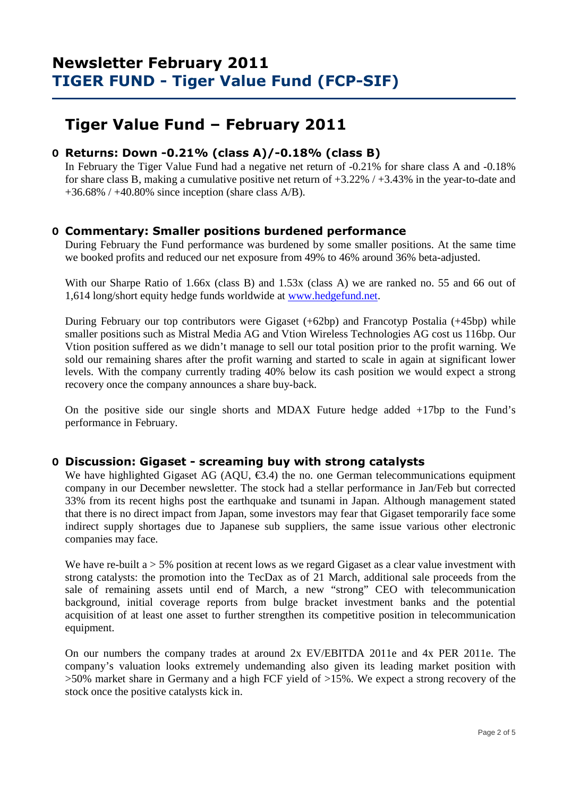# **Tiger Value Fund – February 2011**

## **O Returns: Down -0.21% (class A)/-0.18% (class B)**

 In February the Tiger Value Fund had a negative net return of -0.21% for share class A and -0.18% for share class B, making a cumulative positive net return of +3.22% / +3.43% in the year-to-date and  $+36.68\%$  /  $+40.80\%$  since inception (share class A/B).

## **O Commentary: Smaller positions burdened performance**

During February the Fund performance was burdened by some smaller positions. At the same time we booked profits and reduced our net exposure from 49% to 46% around 36% beta-adjusted.

With our Sharpe Ratio of 1.66x (class B) and 1.53x (class A) we are ranked no. 55 and 66 out of 1,614 long/short equity hedge funds worldwide at www.hedgefund.net.

During February our top contributors were Gigaset (+62bp) and Francotyp Postalia (+45bp) while smaller positions such as Mistral Media AG and Vtion Wireless Technologies AG cost us 116bp. Our Vtion position suffered as we didn't manage to sell our total position prior to the profit warning. We sold our remaining shares after the profit warning and started to scale in again at significant lower levels. With the company currently trading 40% below its cash position we would expect a strong recovery once the company announces a share buy-back.

On the positive side our single shorts and MDAX Future hedge added +17bp to the Fund's performance in February.

### **O Discussion: Gigaset - screaming buy with strong catalysts**

We have highlighted Gigaset AG (AQU,  $\epsilon$ 3.4) the no. one German telecommunications equipment company in our December newsletter. The stock had a stellar performance in Jan/Feb but corrected 33% from its recent highs post the earthquake and tsunami in Japan. Although management stated that there is no direct impact from Japan, some investors may fear that Gigaset temporarily face some indirect supply shortages due to Japanese sub suppliers, the same issue various other electronic companies may face.

We have re-built  $a > 5\%$  position at recent lows as we regard Gigaset as a clear value investment with strong catalysts: the promotion into the TecDax as of 21 March, additional sale proceeds from the sale of remaining assets until end of March, a new "strong" CEO with telecommunication background, initial coverage reports from bulge bracket investment banks and the potential acquisition of at least one asset to further strengthen its competitive position in telecommunication equipment.

On our numbers the company trades at around 2x EV/EBITDA 2011e and 4x PER 2011e. The company's valuation looks extremely undemanding also given its leading market position with >50% market share in Germany and a high FCF yield of >15%. We expect a strong recovery of the stock once the positive catalysts kick in.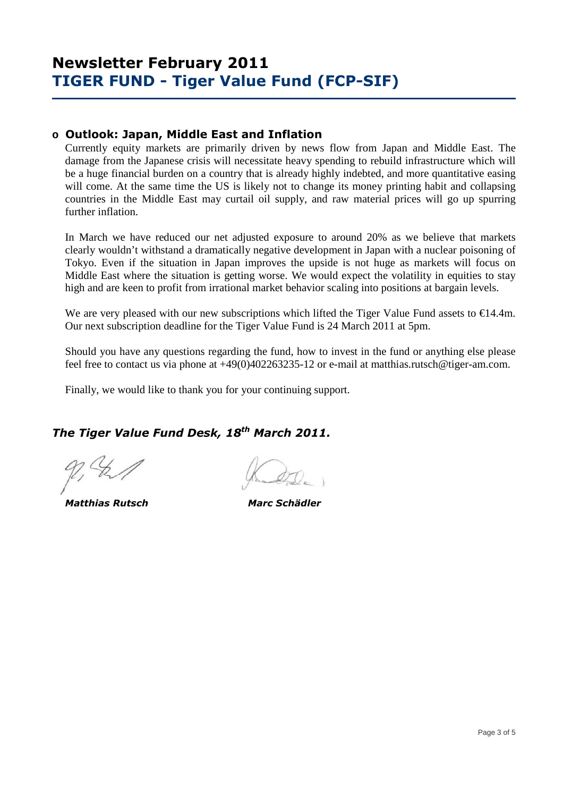## **o Outlook: Japan, Middle East and Inflation**

Currently equity markets are primarily driven by news flow from Japan and Middle East. The damage from the Japanese crisis will necessitate heavy spending to rebuild infrastructure which will be a huge financial burden on a country that is already highly indebted, and more quantitative easing will come. At the same time the US is likely not to change its money printing habit and collapsing countries in the Middle East may curtail oil supply, and raw material prices will go up spurring further inflation.

In March we have reduced our net adjusted exposure to around 20% as we believe that markets clearly wouldn't withstand a dramatically negative development in Japan with a nuclear poisoning of Tokyo. Even if the situation in Japan improves the upside is not huge as markets will focus on Middle East where the situation is getting worse. We would expect the volatility in equities to stay high and are keen to profit from irrational market behavior scaling into positions at bargain levels.

We are very pleased with our new subscriptions which lifted the Tiger Value Fund assets to  $\epsilon$ 14.4m. Our next subscription deadline for the Tiger Value Fund is 24 March 2011 at 5pm.

Should you have any questions regarding the fund, how to invest in the fund or anything else please feel free to contact us via phone at +49(0)402263235-12 or e-mail at matthias.rutsch@tiger-am.com.

Finally, we would like to thank you for your continuing support.

## *The Tiger Value Fund Desk, 18th March 2011.*

 *Matthias Rutsch Marc Schädler*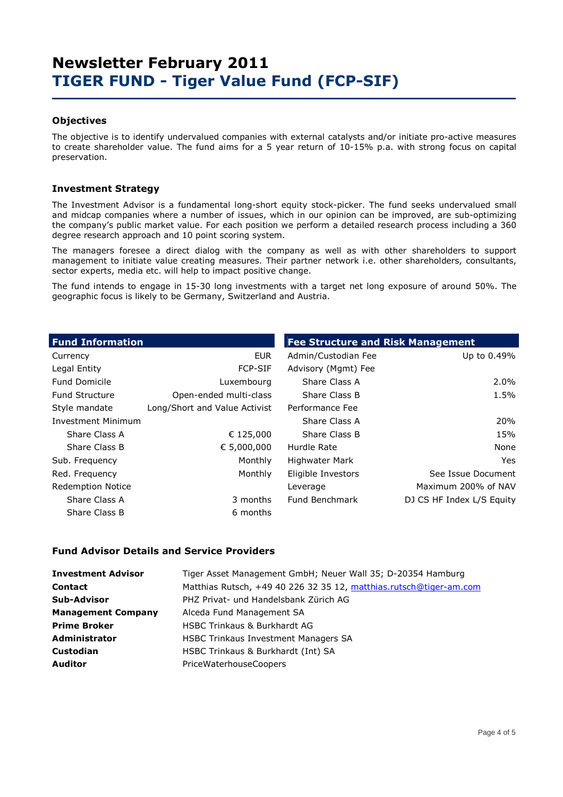### **Objectives**

The objective is to identify undervalued companies with external catalysts and/or initiate pro-active measures to create shareholder value. The fund aims for a 5 year return of 10-15% p.a. with strong focus on capital preservation.

### **Investment Strategy**

The Investment Advisor is a fundamental long-short equity stock-picker. The fund seeks undervalued small and midcap companies where a number of issues, which in our opinion can be improved, are sub-optimizing the company's public market value. For each position we perform a detailed research process including a 360 degree research approach and 10 point scoring system.

The managers foresee a direct dialog with the company as well as with other shareholders to support management to initiate value creating measures. Their partner network i.e. other shareholders, consultants, sector experts, media etc. will help to impact positive change.

The fund intends to engage in 15-30 long investments with a target net long exposure of around 50%. The geographic focus is likely to be Germany, Switzerland and Austria.

| <b>Fund Information</b>   |                               | <b>Fee Structure and Risk Management</b> |                           |  |  |  |  |
|---------------------------|-------------------------------|------------------------------------------|---------------------------|--|--|--|--|
| Currency                  | <b>EUR</b>                    | Admin/Custodian Fee                      | Up to 0.49%               |  |  |  |  |
| Legal Entity              | <b>FCP-SIF</b>                | Advisory (Mgmt) Fee                      |                           |  |  |  |  |
| <b>Fund Domicile</b>      | Luxembourg                    | Share Class A                            | 2.0%                      |  |  |  |  |
| <b>Fund Structure</b>     | Open-ended multi-class        | Share Class B                            | 1.5%                      |  |  |  |  |
| Style mandate             | Long/Short and Value Activist | Performance Fee                          |                           |  |  |  |  |
| <b>Investment Minimum</b> |                               | Share Class A                            | 20%                       |  |  |  |  |
| Share Class A             | € 125,000                     | Share Class B                            | 15%                       |  |  |  |  |
| Share Class B             | € 5,000,000                   | Hurdle Rate                              | None                      |  |  |  |  |
| Sub. Frequency            | Monthly                       | Highwater Mark                           | Yes.                      |  |  |  |  |
| Red. Frequency            | Monthly                       | Eligible Investors                       | See Issue Document        |  |  |  |  |
| <b>Redemption Notice</b>  |                               | Leverage                                 | Maximum 200% of NAV       |  |  |  |  |
| Share Class A             | 3 months                      | Fund Benchmark                           | DJ CS HF Index L/S Equity |  |  |  |  |
| Share Class B             | 6 months                      |                                          |                           |  |  |  |  |

#### **Fund Advisor Details and Service Providers**

| <b>Investment Advisor</b> | Tiger Asset Management GmbH; Neuer Wall 35; D-20354 Hamburg        |
|---------------------------|--------------------------------------------------------------------|
| <b>Contact</b>            | Matthias Rutsch, +49 40 226 32 35 12, matthias.rutsch@tiger-am.com |
| <b>Sub-Advisor</b>        | PHZ Privat- und Handelsbank Zürich AG                              |
| <b>Management Company</b> | Alceda Fund Management SA                                          |
| <b>Prime Broker</b>       | <b>HSBC Trinkaus &amp; Burkhardt AG</b>                            |
| <b>Administrator</b>      | <b>HSBC Trinkaus Investment Managers SA</b>                        |
| <b>Custodian</b>          | HSBC Trinkaus & Burkhardt (Int) SA                                 |
| <b>Auditor</b>            | PriceWaterhouseCoopers                                             |